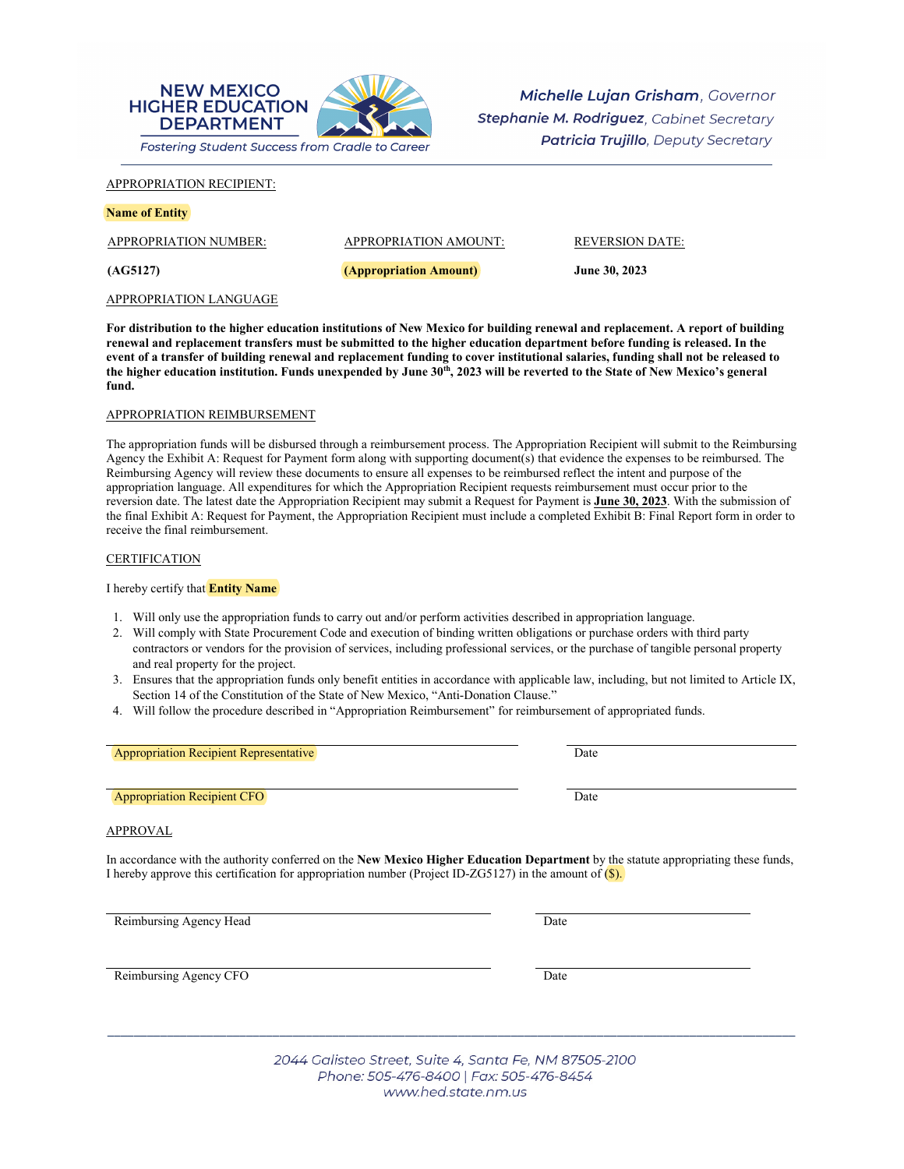

Michelle Lujan Grisham, Governor Stephanie M. Rodriguez, Cabinet Secretary **Patricia Trujillo**, Deputy Secretary

APPROPRIATION RECIPIENT:

| <b>Name of Entity</b> |  |
|-----------------------|--|
|-----------------------|--|

| APPROPRIATION NUMBER:  | APPROPRIATION AMOUNT:  | REVERSION DATE: |
|------------------------|------------------------|-----------------|
| (AG5127)               | (Appropriation Amount) | June 30, 2023   |
| APPROPRIATION LANGUAGE |                        |                 |

**For distribution to the higher education institutions of New Mexico for building renewal and replacement. A report of building renewal and replacement transfers must be submitted to the higher education department before funding is released. In the event of a transfer of building renewal and replacement funding to cover institutional salaries, funding shall not be released to**  the higher education institution. Funds unexpended by June 30<sup>th</sup>, 2023 will be reverted to the State of New Mexico's general **fund.**

## APPROPRIATION REIMBURSEMENT

The appropriation funds will be disbursed through a reimbursement process. The Appropriation Recipient will submit to the Reimbursing Agency the Exhibit A: Request for Payment form along with supporting document(s) that evidence the expenses to be reimbursed. The Reimbursing Agency will review these documents to ensure all expenses to be reimbursed reflect the intent and purpose of the appropriation language. All expenditures for which the Appropriation Recipient requests reimbursement must occur prior to the reversion date. The latest date the Appropriation Recipient may submit a Request for Payment is **June 30, 2023**. With the submission of the final Exhibit A: Request for Payment, the Appropriation Recipient must include a completed Exhibit B: Final Report form in order to receive the final reimbursement.

## **CERTIFICATION**

I hereby certify that **Entity Name**

- 1. Will only use the appropriation funds to carry out and/or perform activities described in appropriation language.
- 2. Will comply with State Procurement Code and execution of binding written obligations or purchase orders with third party contractors or vendors for the provision of services, including professional services, or the purchase of tangible personal property and real property for the project.
- 3. Ensures that the appropriation funds only benefit entities in accordance with applicable law, including, but not limited to Article IX, Section 14 of the Constitution of the State of New Mexico, "Anti-Donation Clause."
- 4. Will follow the procedure described in "Appropriation Reimbursement" for reimbursement of appropriated funds.

Appropriation Recipient Representative Date

**Appropriation Recipient CFO** Date

## APPROVAL

In accordance with the authority conferred on the **New Mexico Higher Education Department** by the statute appropriating these funds, I hereby approve this certification for appropriation number (Project ID-ZG5127) in the amount of  $(\$\)$ .

Reimbursing Agency Head Date

Reimbursing Agency CFO

2044 Galisteo Street, Suite 4, Santa Fe, NM 87505-2100 Phone: 505-476-8400 | Fax: 505-476-8454 www.hed.state.nm.us

\_\_\_\_\_\_\_\_\_\_\_\_\_\_\_\_\_\_\_\_\_\_\_\_\_\_\_\_\_\_\_\_\_\_\_\_\_\_\_\_\_\_\_\_\_\_\_\_\_\_\_\_\_\_\_\_\_\_\_\_\_\_\_\_\_\_\_\_\_\_\_\_\_\_\_\_\_\_\_\_\_\_\_\_\_\_\_\_\_\_\_\_\_\_\_\_\_\_\_\_\_\_\_\_